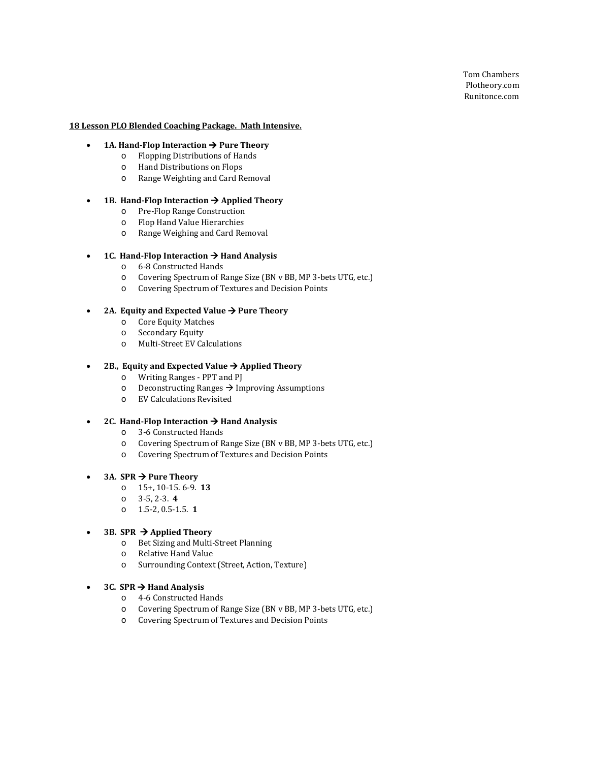Tom Chambers Plotheory.com Runitonce.com

## **18 Lesson PLO Blended Coaching Package. Math Intensive.**

- **1A. Hand-Flop Interaction**  $\rightarrow$  **Pure Theory** 
	- o Flopping Distributions of Hands
	- o Hand Distributions on Flops
	- o Range Weighting and Card Removal

## • **1B. Hand-Flop Interaction Applied Theory**

- o Pre-Flop Range Construction
- o Flop Hand Value Hierarchies
- o Range Weighing and Card Removal

# • **1C. Hand-Flop Interaction**  $\rightarrow$  **Hand Analysis**

- o 6-8 Constructed Hands
- o Covering Spectrum of Range Size (BN v BB, MP 3-bets UTG, etc.)
- o Covering Spectrum of Textures and Decision Points

#### 2A. Equity and Expected Value  $\rightarrow$  Pure Theory

- o Core Equity Matches
- Secondary Equity
- o Multi-Street EV Calculations

#### 2B., Equity and Expected Value  $\rightarrow$  Applied Theory

- o Writing Ranges PPT and PJ
- $\circ$  Deconstructing Ranges  $\rightarrow$  Improving Assumptions
- o EV Calculations Revisited

## 2C. Hand-Flop Interaction  $\rightarrow$  Hand Analysis

- o 3-6 Constructed Hands<br>
o Covering Spectrum of R
- Covering Spectrum of Range Size (BN v BB, MP 3-bets UTG, etc.)
- o Covering Spectrum of Textures and Decision Points

#### • **3A. SPR Pure Theory**

- o 15+, 10-15. 6-9. **13**
- o 3-5, 2-3. **4**
- o 1.5-2, 0.5-1.5. **1**

#### **3B. SPR**  $\rightarrow$  **Applied Theory**

- o Bet Sizing and Multi-Street Planning
- Relative Hand Value
- o Surrounding Context (Street, Action, Texture)

# **3C. SPR**  $\rightarrow$  **Hand Analysis**

- o 4-6 Constructed Hands
- o Covering Spectrum of Range Size (BN v BB, MP 3-bets UTG, etc.)
- o Covering Spectrum of Textures and Decision Points